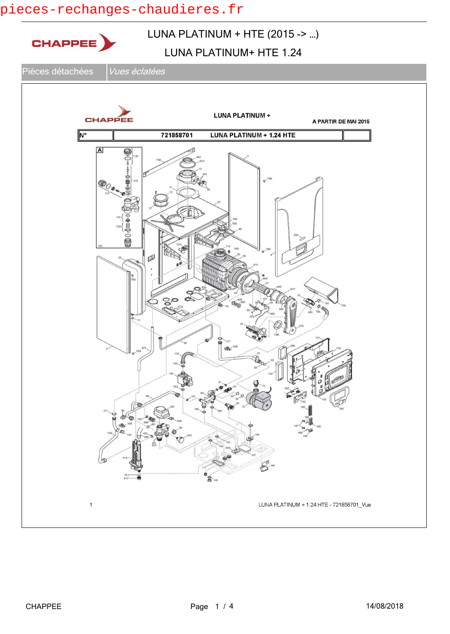# pieces-rechanges-chaudieres.fr

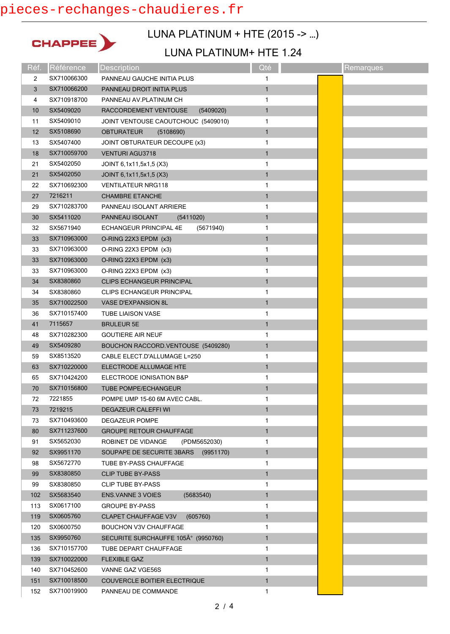## pieces-rechanges-chaudieres.fr



## LUNA PLATINUM + HTE (2015 -> …)

#### LUNA PLATINUM+ HTE 1.24

| Réf. | Référence   | <b>Description</b>                      | Qté          | Remarques |
|------|-------------|-----------------------------------------|--------------|-----------|
| 2    | SX710066300 | PANNEAU GAUCHE INITIA PLUS              | 1            |           |
| 3    | SX710066200 | PANNEAU DROIT INITIA PLUS               | $\mathbf{1}$ |           |
| 4    | SX710918700 | PANNEAU AV.PLATINUM CH                  | 1            |           |
| 10   | SX5409020   | RACCORDEMENT VENTOUSE<br>(5409020)      | $\mathbf{1}$ |           |
| 11   | SX5409010   | JOINT VENTOUSE CAOUTCHOUC (5409010)     | 1            |           |
| 12   | SX5108690   | <b>OBTURATEUR</b><br>(5108690)          | $\mathbf{1}$ |           |
| 13   | SX5407400   | JOINT OBTURATEUR DECOUPE (x3)           | 1            |           |
| 18   | SX710059700 | <b>VENTURI AGU3718</b>                  | $\mathbf{1}$ |           |
| 21   | SX5402050   | JOINT 6,1x11,5x1,5 (X3)                 | 1            |           |
| 21   | SX5402050   | JOINT 6,1x11,5x1,5 (X3)                 | $\mathbf{1}$ |           |
| 22   | SX710692300 | <b>VENTILATEUR NRG118</b>               | 1            |           |
| 27   | 7216211     | <b>CHAMBRE ETANCHE</b>                  | $\mathbf{1}$ |           |
| 29   | SX710283700 | PANNEAU ISOLANT ARRIERE                 | 1            |           |
| 30   | SX5411020   | PANNEAU ISOLANT<br>(5411020)            | $\mathbf{1}$ |           |
| 32   | SX5671940   | ECHANGEUR PRINCIPAL 4E<br>(5671940)     | 1            |           |
| 33   | SX710963000 | O-RING 22X3 EPDM (x3)                   | $\mathbf{1}$ |           |
| 33   | SX710963000 | O-RING 22X3 EPDM (x3)                   | 1            |           |
| 33   | SX710963000 | O-RING 22X3 EPDM (x3)                   | $\mathbf{1}$ |           |
| 33   | SX710963000 | O-RING 22X3 EPDM (x3)                   | 1            |           |
| 34   | SX8380860   | CLIPS ECHANGEUR PRINCIPAL               | $\mathbf{1}$ |           |
| 34   | SX8380860   | CLIPS ECHANGEUR PRINCIPAL               | 1            |           |
| 35   | SX710022500 | <b>VASE D'EXPANSION 8L</b>              | $\mathbf{1}$ |           |
| 36   | SX710157400 | <b>TUBE LIAISON VASE</b>                | 1            |           |
| 41   | 7115657     | <b>BRULEUR 5E</b>                       | $\mathbf{1}$ |           |
| 48   | SX710282300 | <b>GOUTIERE AIR NEUF</b>                | 1            |           |
| 49   | SX5409280   | BOUCHON RACCORD. VENTOUSE (5409280)     | $\mathbf{1}$ |           |
| 59   | SX8513520   | CABLE ELECT.D'ALLUMAGE L=250            | 1            |           |
| 63   | SX710220000 | ELECTRODE ALLUMAGE HTE                  | $\mathbf{1}$ |           |
| 65   | SX710424200 | ELECTRODE IONISATION B&P                | 1            |           |
| 70   | SX710156800 | TUBE POMPE/ECHANGEUR                    | $\mathbf{1}$ |           |
| 72   | 7221855     | POMPE UMP 15-60 6M AVEC CABL.           | 1            |           |
| 73   | 7219215     | <b>DEGAZEUR CALEFFI WI</b>              | 1            |           |
| 73   | SX710493600 | <b>DEGAZEUR POMPE</b>                   | 1            |           |
| 80   | SX711237600 | <b>GROUPE RETOUR CHAUFFAGE</b>          | $\mathbf{1}$ |           |
| 91   | SX5652030   | ROBINET DE VIDANGE<br>(PDM5652030)      | 1            |           |
| 92   | SX9951170   | SOUPAPE DE SECURITE 3BARS<br>(9951170)  | $\mathbf{1}$ |           |
| 98   | SX5672770   | TUBE BY-PASS CHAUFFAGE                  | 1            |           |
| 99   | SX8380850   | <b>CLIP TUBE BY-PASS</b>                | $\mathbf{1}$ |           |
| 99   | SX8380850   | <b>CLIP TUBE BY-PASS</b>                | 1            |           |
| 102  | SX5683540   | ENS.VANNE 3 VOIES<br>(5683540)          | $\mathbf{1}$ |           |
| 113  | SX0617100   | <b>GROUPE BY-PASS</b>                   | 1            |           |
| 119  | SX0605760   | <b>CLAPET CHAUFFAGE V3V</b><br>(605760) | $\mathbf{1}$ |           |
| 120  | SX0600750   | <b>BOUCHON V3V CHAUFFAGE</b>            | 1            |           |
| 135  | SX9950760   | SECURITE SURCHAUFFE 105° (9950760)      | $\mathbf{1}$ |           |
| 136  | SX710157700 | TUBE DEPART CHAUFFAGE                   | 1            |           |
| 139  | SX710022000 | <b>FLEXIBLE GAZ</b>                     | $\mathbf{1}$ |           |
| 140  | SX710452600 | VANNE GAZ VGE56S                        | 1            |           |
| 151  | SX710018500 | COUVERCLE BOITIER ELECTRIQUE            | $\mathbf{1}$ |           |
| 152  | SX710019900 | PANNEAU DE COMMANDE                     | 1            |           |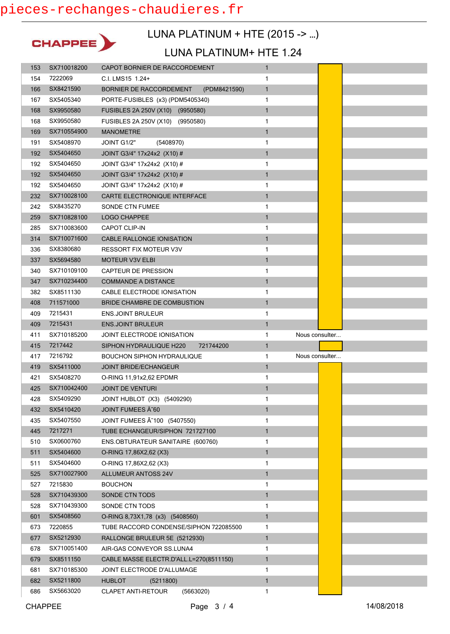

### LUNA PLATINUM + HTE (2015 -> …)

#### LUNA PLATINUM+ HTE 1.24

| 153 | SX710018200 | CAPOT BORNIER DE RACCORDEMENT           | $\mathbf{1}$ |                |
|-----|-------------|-----------------------------------------|--------------|----------------|
| 154 | 7222069     | C.I. LMS15 1.24+                        | 1            |                |
| 166 | SX8421590   | BORNIER DE RACCORDEMENT<br>(PDM8421590) | $\mathbf{1}$ |                |
| 167 | SX5405340   | PORTE-FUSIBLES (x3) (PDM5405340)        | 1            |                |
| 168 | SX9950580   | FUSIBLES 2A 250V (X10) (9950580)        | $\mathbf{1}$ |                |
| 168 | SX9950580   | FUSIBLES 2A 250V (X10) (9950580)        | 1            |                |
| 169 | SX710554900 | <b>MANOMETRE</b>                        | $\mathbf{1}$ |                |
| 191 | SX5408970   | JOINT G1/2"<br>(5408970)                | 1            |                |
| 192 | SX5404650   | JOINT G3/4" 17x24x2 (X10) #             | $\mathbf{1}$ |                |
| 192 | SX5404650   | JOINT G3/4" 17x24x2 (X10) #             | 1            |                |
| 192 | SX5404650   | JOINT G3/4" 17x24x2 (X10) #             | $\mathbf{1}$ |                |
| 192 | SX5404650   | JOINT G3/4" 17x24x2 (X10) #             | 1            |                |
| 232 | SX710028100 | CARTE ELECTRONIQUE INTERFACE            | $\mathbf{1}$ |                |
| 242 | SX8435270   | SONDE CTN FUMEE                         | 1            |                |
| 259 | SX710828100 | LOGO CHAPPEE                            | $\mathbf{1}$ |                |
| 285 | SX710083600 | <b>CAPOT CLIP-IN</b>                    | 1            |                |
| 314 | SX710071600 | CABLE RALLONGE IONISATION               | $\mathbf{1}$ |                |
| 336 | SX8380680   | RESSORT FIX MOTEUR V3V                  | 1            |                |
| 337 | SX5694580   | MOTEUR V3V ELBI                         | $\mathbf{1}$ |                |
| 340 | SX710109100 | <b>CAPTEUR DE PRESSION</b>              | 1            |                |
| 347 | SX710234400 | <b>COMMANDE A DISTANCE</b>              | $\mathbf{1}$ |                |
| 382 | SX8511130   | CABLE ELECTRODE IONISATION              | 1            |                |
| 408 | 711571000   | <b>BRIDE CHAMBRE DE COMBUSTION</b>      | 1            |                |
| 409 | 7215431     | <b>ENS.JOINT BRULEUR</b>                | 1            |                |
| 409 | 7215431     | <b>ENS.JOINT BRULEUR</b>                | $\mathbf{1}$ |                |
|     |             |                                         |              |                |
| 411 | SX710185200 | JOINT ELECTRODE IONISATION              | 1            | Nous consulter |
| 415 | 7217442     | SIPHON HYDRAULIQUE H220<br>721744200    | $\mathbf{1}$ |                |
| 417 | 7216792     | <b>BOUCHON SIPHON HYDRAULIQUE</b>       | 1            | Nous consulter |
| 419 | SX5411000   | JOINT BRIDE/ECHANGEUR                   | $\mathbf{1}$ |                |
| 421 | SX5408270   | O-RING 11,91x2,62 EPDMR                 | 1            |                |
| 425 | SX710042400 | <b>JOINT DE VENTURI</b>                 | $\mathbf{1}$ |                |
| 428 | SX5409290   | JOINT HUBLOT (X3) (5409290)             | 1            |                |
| 432 | SX5410420   | JOINT FUMEES A~60                       | $\mathbf{1}$ |                |
| 435 | SX5407550   | JOINT FUMEES A 100 (5407550)            | 1            |                |
| 445 | 7217271     | TUBE ECHANGEUR/SIPHON 721727100         | $\mathbf{1}$ |                |
| 510 | SX0600760   | ENS.OBTURATEUR SANITAIRE (600760)       | 1            |                |
| 511 | SX5404600   | O-RING 17,86X2,62 (X3)                  | 1            |                |
| 511 | SX5404600   | O-RING 17,86X2,62 (X3)                  | 1            |                |
| 525 | SX710027900 | <b>ALLUMEUR ANTOSS 24V</b>              | $\mathbf{1}$ |                |
| 527 | 7215830     | <b>BOUCHON</b>                          | 1            |                |
| 528 | SX710439300 | SONDE CTN TODS                          | $\mathbf{1}$ |                |
| 528 | SX710439300 | SONDE CTN TODS                          | 1            |                |
| 601 | SX5408560   | O-RING 8,73X1,78 (x3) (5408560)         | $\mathbf{1}$ |                |
| 673 | 7220855     | TUBE RACCORD CONDENSE/SIPHON 722085500  | 1            |                |
| 677 | SX5212930   | RALLONGE BRULEUR 5E (5212930)           | $\mathbf{1}$ |                |
| 678 | SX710051400 | AIR-GAS CONVEYOR SS.LUNA4               | 1            |                |
| 679 | SX8511150   | CABLE MASSE ELECTR.D'ALL.L=270(8511150) | $\mathbf{1}$ |                |
| 681 | SX710185300 | JOINT ELECTRODE D'ALLUMAGE              | 1            |                |
| 682 | SX5211800   | <b>HUBLOT</b><br>(5211800)              | $\mathbf{1}$ |                |